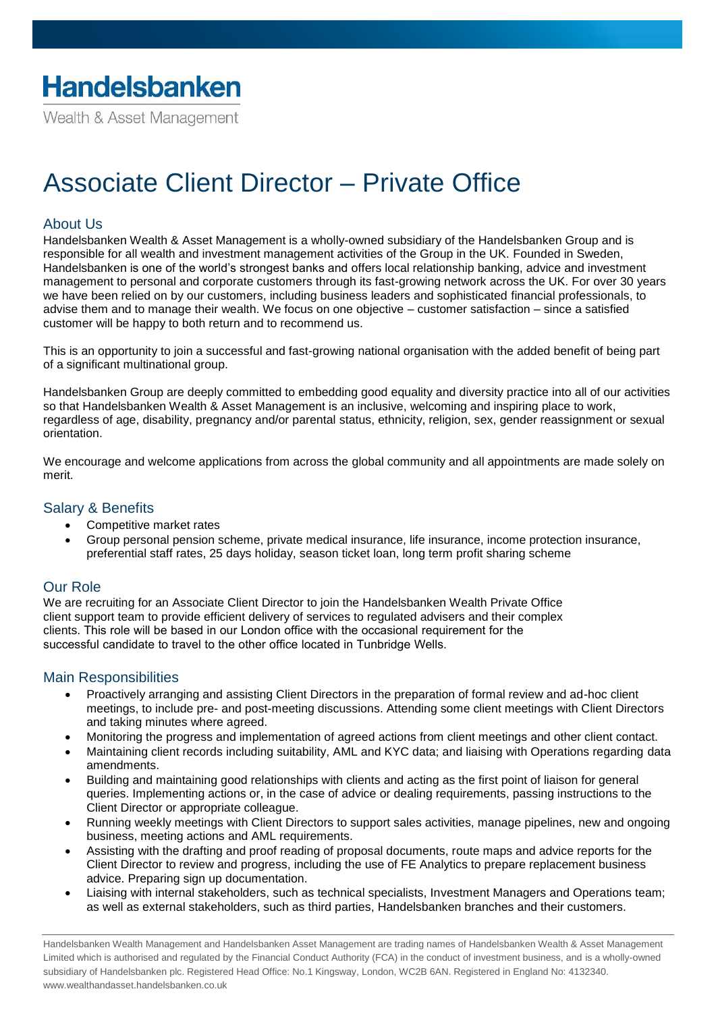Wealth & Asset Management

# Associate Client Director – Private Office

# About Us

Handelsbanken Wealth & Asset Management is a wholly-owned subsidiary of the Handelsbanken Group and is responsible for all wealth and investment management activities of the Group in the UK. Founded in Sweden, Handelsbanken is one of the world's strongest banks and offers local relationship banking, advice and investment management to personal and corporate customers through its fast-growing network across the UK. For over 30 years we have been relied on by our customers, including business leaders and sophisticated financial professionals, to advise them and to manage their wealth. We focus on one objective – customer satisfaction – since a satisfied customer will be happy to both return and to recommend us.

This is an opportunity to join a successful and fast-growing national organisation with the added benefit of being part of a significant multinational group.

Handelsbanken Group are deeply committed to embedding good equality and diversity practice into all of our activities so that Handelsbanken Wealth & Asset Management is an inclusive, welcoming and inspiring place to work, regardless of age, disability, pregnancy and/or parental status, ethnicity, religion, sex, gender reassignment or sexual orientation.

We encourage and welcome applications from across the global community and all appointments are made solely on merit.

#### Salary & Benefits

- Competitive market rates
- Group personal pension scheme, private medical insurance, life insurance, income protection insurance, preferential staff rates, 25 days holiday, season ticket loan, long term profit sharing scheme

### Our Role

We are recruiting for an Associate Client Director to join the Handelsbanken Wealth Private Office client support team to provide efficient delivery of services to regulated advisers and their complex clients. This role will be based in our London office with the occasional requirement for the successful candidate to travel to the other office located in Tunbridge Wells.

### Main Responsibilities

- Proactively arranging and assisting Client Directors in the preparation of formal review and ad-hoc client meetings, to include pre- and post-meeting discussions. Attending some client meetings with Client Directors and taking minutes where agreed.
- Monitoring the progress and implementation of agreed actions from client meetings and other client contact.
- Maintaining client records including suitability, AML and KYC data; and liaising with Operations regarding data amendments.
- Building and maintaining good relationships with clients and acting as the first point of liaison for general queries. Implementing actions or, in the case of advice or dealing requirements, passing instructions to the Client Director or appropriate colleague.
- Running weekly meetings with Client Directors to support sales activities, manage pipelines, new and ongoing business, meeting actions and AML requirements.
- Assisting with the drafting and proof reading of proposal documents, route maps and advice reports for the Client Director to review and progress, including the use of FE Analytics to prepare replacement business advice. Preparing sign up documentation.
- Liaising with internal stakeholders, such as technical specialists, Investment Managers and Operations team; as well as external stakeholders, such as third parties, Handelsbanken branches and their customers.

Handelsbanken Wealth Management and Handelsbanken Asset Management are trading names of Handelsbanken Wealth & Asset Management Limited which is authorised and regulated by the Financial Conduct Authority (FCA) in the conduct of investment business, and is a wholly-owned subsidiary of Handelsbanken plc. Registered Head Office: No.1 Kingsway, London, WC2B 6AN. Registered in England No: 4132340. www.wealthandasset.handelsbanken.co.uk